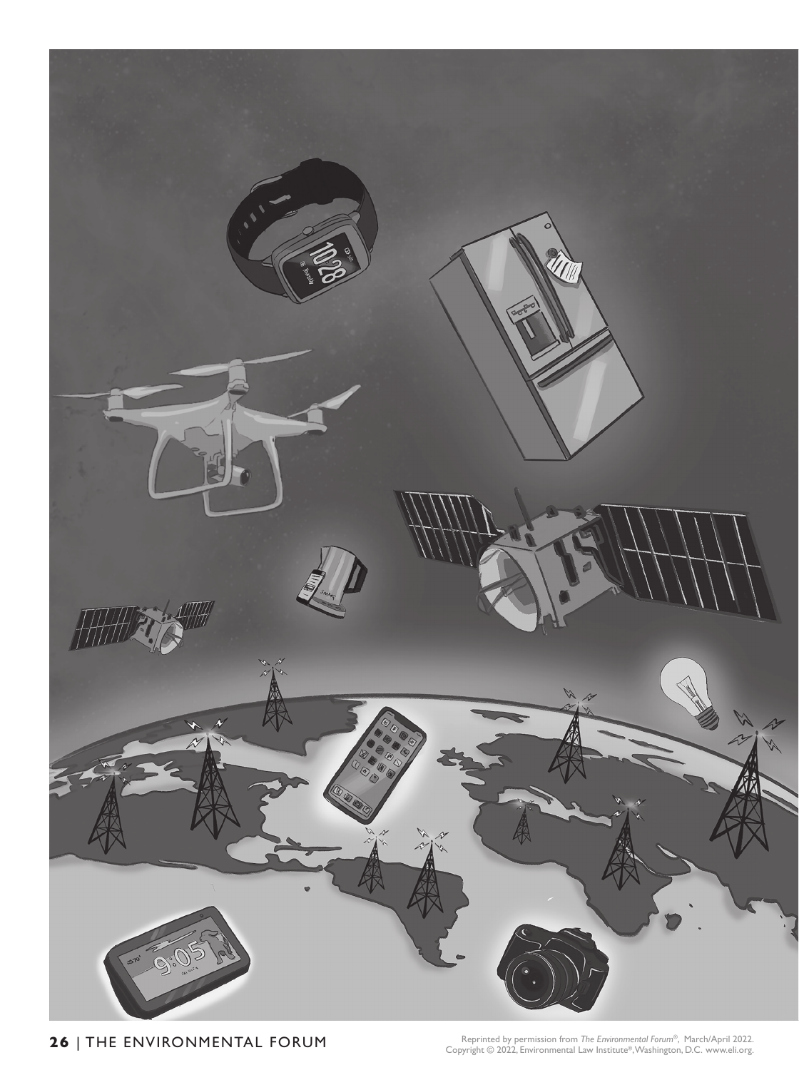

THE ENVIRONMENTAL FORUM Reprinted by permission from *The Environmental Forum®*, March/April 2022.<br>Copyright © 2022, Environmental Law Institute®, Washington, D.C. www.eli.org.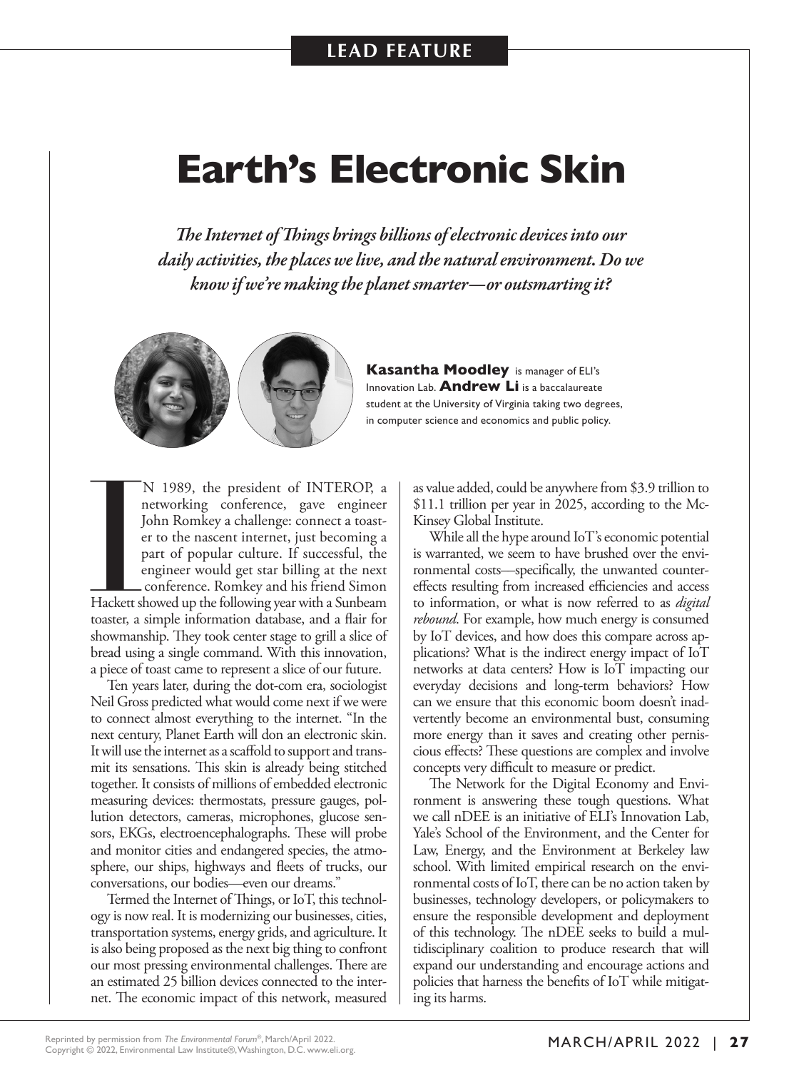#### **LEAD FEATURE**

# **Earth's Electronic Skin**

*The Internet of Things brings billions of electronic devices into our daily activities, the places we live, and the natural environment. Do we know if we're making the planet smarter—or outsmarting it?*



**Kasantha Moodley** is manager of ELI's Innovation Lab. **Andrew Li** is a baccalaureate student at the University of Virginia taking two degrees, in computer science and economics and public policy.

I<br>
I<br>
J<br>
(<br>
Flackett sl<br>
toaster, a N 1989, the president of INTEROP, a networking conference, gave engineer John Romkey a challenge: connect a toaster to the nascent internet, just becoming a part of popular culture. If successful, the engineer would get star billing at the next conference. Romkey and his friend Simon Hackett showed up the following year with a Sunbeam toaster, a simple information database, and a flair for showmanship. They took center stage to grill a slice of bread using a single command. With this innovation, a piece of toast came to represent a slice of our future.

Ten years later, during the dot-com era, sociologist Neil Gross predicted what would come next if we were to connect almost everything to the internet. "In the next century, Planet Earth will don an electronic skin. It will use the internet as a scaffold to support and transmit its sensations. This skin is already being stitched together. It consists of millions of embedded electronic measuring devices: thermostats, pressure gauges, pollution detectors, cameras, microphones, glucose sensors, EKGs, electroencephalographs. These will probe and monitor cities and endangered species, the atmosphere, our ships, highways and fleets of trucks, our conversations, our bodies—even our dreams."

Termed the Internet of Things, or IoT, this technology is now real. It is modernizing our businesses, cities, transportation systems, energy grids, and agriculture. It is also being proposed as the next big thing to confront our most pressing environmental challenges. There are an estimated 25 billion devices connected to the internet. The economic impact of this network, measured as value added, could be anywhere from \$3.9 trillion to \$11.1 trillion per year in 2025, according to the Mc-Kinsey Global Institute.

While all the hype around IoT's economic potential is warranted, we seem to have brushed over the environmental costs––specifically, the unwanted countereffects resulting from increased efficiencies and access to information, or what is now referred to as *digital rebound*. For example, how much energy is consumed by IoT devices, and how does this compare across applications? What is the indirect energy impact of IoT networks at data centers? How is IoT impacting our everyday decisions and long-term behaviors? How can we ensure that this economic boom doesn't inadvertently become an environmental bust, consuming more energy than it saves and creating other perniscious effects? These questions are complex and involve concepts very difficult to measure or predict.

The Network for the Digital Economy and Environment is answering these tough questions. What we call nDEE is an initiative of ELI's Innovation Lab, Yale's School of the Environment, and the Center for Law, Energy, and the Environment at Berkeley law school. With limited empirical research on the environmental costs of IoT, there can be no action taken by businesses, technology developers, or policymakers to ensure the responsible development and deployment of this technology. The nDEE seeks to build a multidisciplinary coalition to produce research that will expand our understanding and encourage actions and policies that harness the benefits of IoT while mitigating its harms.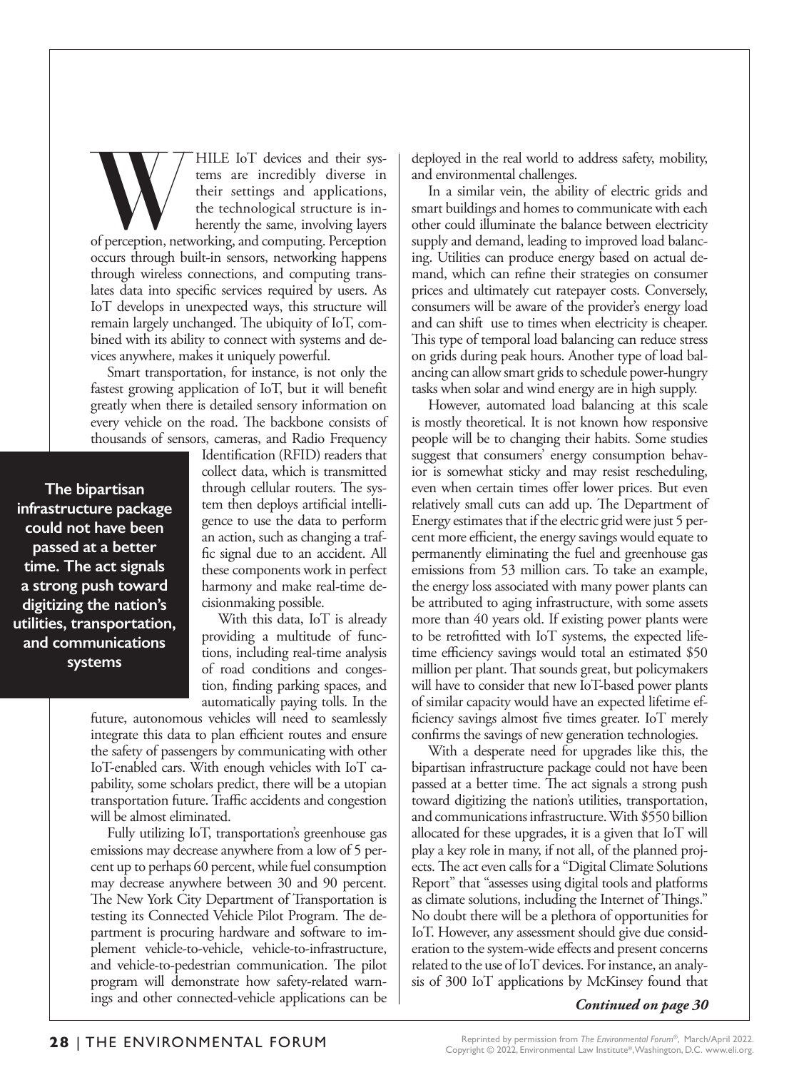WHILE IoT devices and their sys-<br>tems are incredibly diverse in<br>their settings and applications,<br>the technological structure is in-<br>herently the same, involving layers<br>of perception, networking, and computing. Perception tems are incredibly diverse in their settings and applications, the technological structure is inherently the same, involving layers occurs through built-in sensors, networking happens through wireless connections, and computing translates data into specific services required by users. As IoT develops in unexpected ways, this structure will remain largely unchanged. The ubiquity of IoT, combined with its ability to connect with systems and devices anywhere, makes it uniquely powerful.

Smart transportation, for instance, is not only the fastest growing application of IoT, but it will benefit greatly when there is detailed sensory information on every vehicle on the road. The backbone consists of thousands of sensors, cameras, and Radio Frequency

**The bipartisan infrastructure package could not have been passed at a better time. The act signals a strong push toward digitizing the nation's utilities, transportation, and communications systems**

Identification (RFID) readers that collect data, which is transmitted through cellular routers. The system then deploys artificial intelligence to use the data to perform an action, such as changing a traffic signal due to an accident. All these components work in perfect harmony and make real-time decisionmaking possible.

With this data, IoT is already providing a multitude of functions, including real-time analysis of road conditions and congestion, finding parking spaces, and automatically paying tolls. In the

future, autonomous vehicles will need to seamlessly integrate this data to plan efficient routes and ensure the safety of passengers by communicating with other IoT-enabled cars. With enough vehicles with IoT capability, some scholars predict, there will be a utopian transportation future. Traffic accidents and congestion will be almost eliminated.

Fully utilizing IoT, transportation's greenhouse gas emissions may decrease anywhere from a low of 5 percent up to perhaps 60 percent, while fuel consumption may decrease anywhere between 30 and 90 percent. The New York City Department of Transportation is testing its Connected Vehicle Pilot Program. The department is procuring hardware and software to implement vehicle-to-vehicle, vehicle-to-infrastructure, and vehicle-to-pedestrian communication. The pilot program will demonstrate how safety-related warnings and other connected-vehicle applications can be

deployed in the real world to address safety, mobility, and environmental challenges.

In a similar vein, the ability of electric grids and smart buildings and homes to communicate with each other could illuminate the balance between electricity supply and demand, leading to improved load balancing. Utilities can produce energy based on actual demand, which can refine their strategies on consumer prices and ultimately cut ratepayer costs. Conversely, consumers will be aware of the provider's energy load and can shift use to times when electricity is cheaper. This type of temporal load balancing can reduce stress on grids during peak hours. Another type of load balancing can allow smart grids to schedule power-hungry tasks when solar and wind energy are in high supply.

However, automated load balancing at this scale is mostly theoretical. It is not known how responsive people will be to changing their habits. Some studies suggest that consumers' energy consumption behavior is somewhat sticky and may resist rescheduling, even when certain times offer lower prices. But even relatively small cuts can add up. The Department of Energy estimates that if the electric grid were just 5 percent more efficient, the energy savings would equate to permanently eliminating the fuel and greenhouse gas emissions from 53 million cars. To take an example, the energy loss associated with many power plants can be attributed to aging infrastructure, with some assets more than 40 years old. If existing power plants were to be retrofitted with IoT systems, the expected lifetime efficiency savings would total an estimated \$50 million per plant. That sounds great, but policymakers will have to consider that new IoT-based power plants of similar capacity would have an expected lifetime efficiency savings almost five times greater. IoT merely confirms the savings of new generation technologies.

With a desperate need for upgrades like this, the bipartisan infrastructure package could not have been passed at a better time. The act signals a strong push toward digitizing the nation's utilities, transportation, and communications infrastructure. With \$550 billion allocated for these upgrades, it is a given that IoT will play a key role in many, if not all, of the planned projects. The act even calls for a "Digital Climate Solutions Report" that "assesses using digital tools and platforms as climate solutions, including the Internet of Things." No doubt there will be a plethora of opportunities for IoT. However, any assessment should give due consideration to the system-wide effects and present concerns related to the use of IoT devices. For instance, an analysis of 300 IoT applications by McKinsey found that

*Continued on page 30*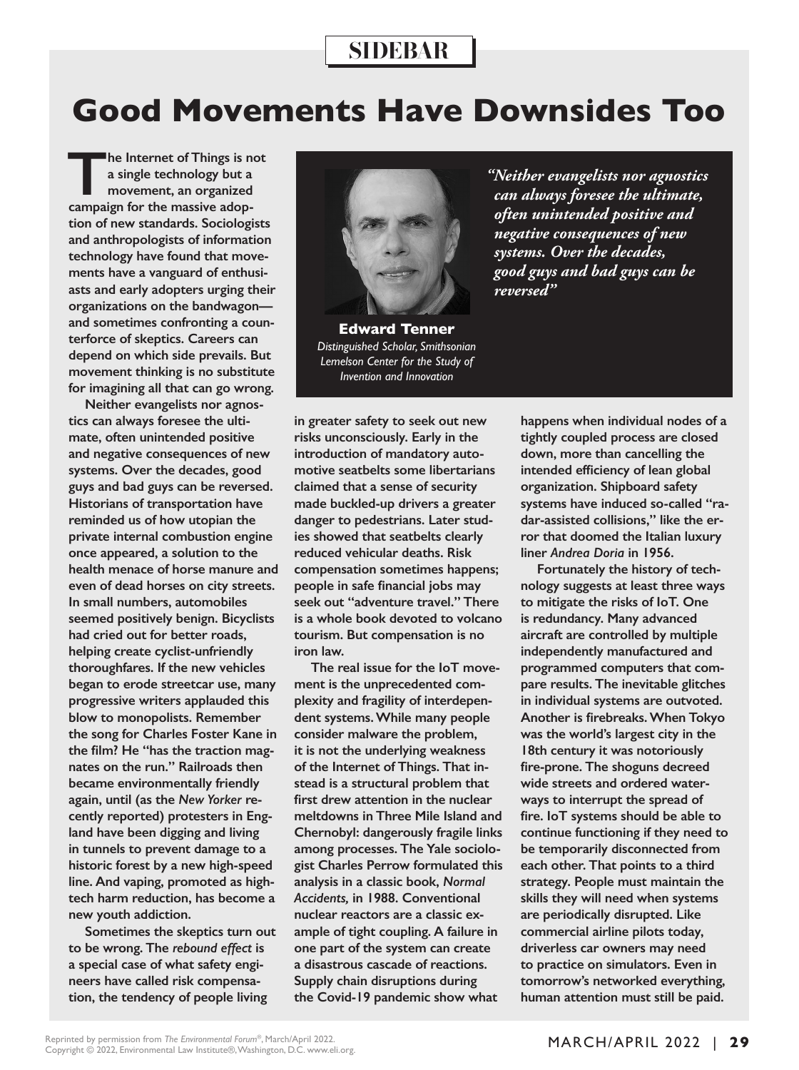### Sidebar **SIDEBAR**

## **Good Movements Have Downsides Too**

**The Internet of Things is not a single technology but a movement, an organized campaign for the massive adoption of new standards. Sociologists and anthropologists of information technology have found that movements have a vanguard of enthusiasts and early adopters urging their organizations on the bandwagon and sometimes confronting a counterforce of skeptics. Careers can depend on which side prevails. But movement thinking is no substitute for imagining all that can go wrong.** 

**Neither evangelists nor agnostics can always foresee the ultimate, often unintended positive and negative consequences of new systems. Over the decades, good guys and bad guys can be reversed. Historians of transportation have reminded us of how utopian the private internal combustion engine once appeared, a solution to the health menace of horse manure and even of dead horses on city streets. In small numbers, automobiles seemed positively benign. Bicyclists had cried out for better roads, helping create cyclist-unfriendly thoroughfares. If the new vehicles began to erode streetcar use, many progressive writers applauded this blow to monopolists. Remember the song for Charles Foster Kane in the film? He "has the traction magnates on the run." Railroads then became environmentally friendly again, until (as the** *New Yorker* **recently reported) protesters in England have been digging and living in tunnels to prevent damage to a historic forest by a new high-speed line. And vaping, promoted as hightech harm reduction, has become a new youth addiction.**

**Sometimes the skeptics turn out to be wrong. The** *rebound effect* **is a special case of what safety engineers have called risk compensation, the tendency of people living** 



**Edward Tenner** *Distinguished Scholar, Smithsonian Lemelson Center for the Study of Invention and Innovation*

*"Neither evangelists nor agnostics can always foresee the ultimate, often unintended positive and negative consequences of new systems. Over the decades, good guys and bad guys can be reversed"*

**in greater safety to seek out new risks unconsciously. Early in the introduction of mandatory automotive seatbelts some libertarians claimed that a sense of security made buckled-up drivers a greater danger to pedestrians. Later studies showed that seatbelts clearly reduced vehicular deaths. Risk compensation sometimes happens; people in safe financial jobs may seek out "adventure travel." There is a whole book devoted to volcano tourism. But compensation is no iron law.**

**The real issue for the IoT movement is the unprecedented complexity and fragility of interdependent systems. While many people consider malware the problem, it is not the underlying weakness of the Internet of Things. That instead is a structural problem that first drew attention in the nuclear meltdowns in Three Mile Island and Chernobyl: dangerously fragile links among processes. The Yale sociologist Charles Perrow formulated this analysis in a classic book,** *Normal Accidents,* **in 1988. Conventional nuclear reactors are a classic example of tight coupling. A failure in one part of the system can create a disastrous cascade of reactions. Supply chain disruptions during the Covid-19 pandemic show what** 

**happens when individual nodes of a tightly coupled process are closed down, more than cancelling the intended efficiency of lean global organization. Shipboard safety systems have induced so-called "radar-assisted collisions," like the error that doomed the Italian luxury liner** *Andrea Doria* **in 1956.** 

**Fortunately the history of technology suggests at least three ways to mitigate the risks of IoT. One is redundancy. Many advanced aircraft are controlled by multiple independently manufactured and programmed computers that compare results. The inevitable glitches in individual systems are outvoted. Another is firebreaks. When Tokyo was the world's largest city in the 18th century it was notoriously fire-prone. The shoguns decreed wide streets and ordered waterways to interrupt the spread of fire. IoT systems should be able to continue functioning if they need to be temporarily disconnected from each other. That points to a third strategy. People must maintain the skills they will need when systems are periodically disrupted. Like commercial airline pilots today, driverless car owners may need to practice on simulators. Even in tomorrow's networked everything, human attention must still be paid.**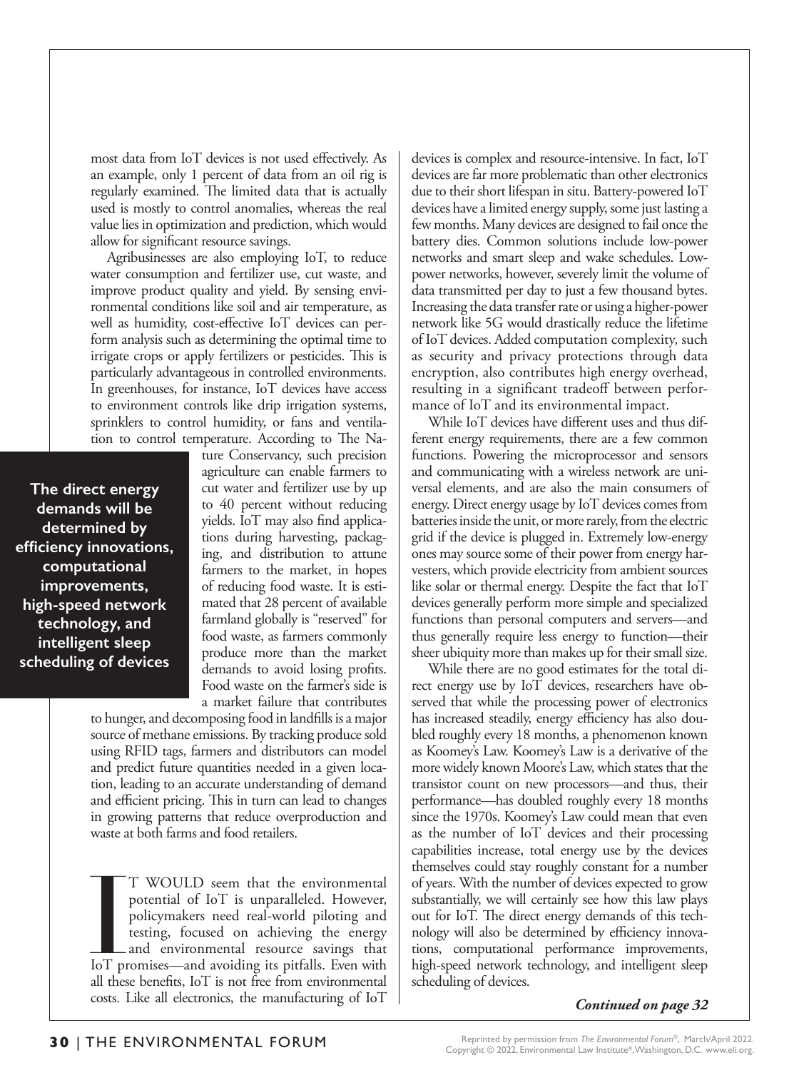most data from IoT devices is not used effectively. As an example, only 1 percent of data from an oil rig is regularly examined. The limited data that is actually used is mostly to control anomalies, whereas the real value lies in optimization and prediction, which would allow for significant resource savings.

Agribusinesses are also employing IoT, to reduce water consumption and fertilizer use, cut waste, and improve product quality and yield. By sensing environmental conditions like soil and air temperature, as well as humidity, cost-effective IoT devices can perform analysis such as determining the optimal time to irrigate crops or apply fertilizers or pesticides. This is particularly advantageous in controlled environments. In greenhouses, for instance, IoT devices have access to environment controls like drip irrigation systems, sprinklers to control humidity, or fans and ventilation to control temperature. According to The Na-

**The direct energy demands will be determined by efficiency innovations, computational improvements, high-speed network technology, and intelligent sleep scheduling of devices**

ture Conservancy, such precision agriculture can enable farmers to cut water and fertilizer use by up to 40 percent without reducing yields. IoT may also find applications during harvesting, packaging, and distribution to attune farmers to the market, in hopes of reducing food waste. It is estimated that 28 percent of available farmland globally is "reserved" for food waste, as farmers commonly produce more than the market demands to avoid losing profits. Food waste on the farmer's side is a market failure that contributes

to hunger, and decomposing food in landfills is a major source of methane emissions. By tracking produce sold using RFID tags, farmers and distributors can model and predict future quantities needed in a given location, leading to an accurate understanding of demand and efficient pricing. This in turn can lead to changes in growing patterns that reduce overproduction and waste at both farms and food retailers.

T WOULD seem that the environmental<br>potential of IoT is unparalleled. However,<br>policymakers need real-world piloting and<br>testing, focused on achieving the energy<br>and environmental resource savings that<br>IoT promises—and avo T WOULD seem that the environmental potential of IoT is unparalleled. However, policymakers need real-world piloting and testing, focused on achieving the energy and environmental resource savings that all these benefits, IoT is not free from environmental costs. Like all electronics, the manufacturing of IoT

devices is complex and resource-intensive. In fact, IoT devices are far more problematic than other electronics due to their short lifespan in situ. Battery-powered IoT devices have a limited energy supply, some just lasting a few months. Many devices are designed to fail once the battery dies. Common solutions include low-power networks and smart sleep and wake schedules. Lowpower networks, however, severely limit the volume of data transmitted per day to just a few thousand bytes. Increasing the data transfer rate or using a higher-power network like 5G would drastically reduce the lifetime of IoT devices. Added computation complexity, such as security and privacy protections through data encryption, also contributes high energy overhead, resulting in a significant tradeoff between performance of IoT and its environmental impact.

While IoT devices have different uses and thus different energy requirements, there are a few common functions. Powering the microprocessor and sensors and communicating with a wireless network are universal elements, and are also the main consumers of energy. Direct energy usage by IoT devices comes from batteries inside the unit, or more rarely, from the electric grid if the device is plugged in. Extremely low-energy ones may source some of their power from energy harvesters, which provide electricity from ambient sources like solar or thermal energy. Despite the fact that IoT devices generally perform more simple and specialized functions than personal computers and servers—and thus generally require less energy to function—their sheer ubiquity more than makes up for their small size.

While there are no good estimates for the total direct energy use by IoT devices, researchers have observed that while the processing power of electronics has increased steadily, energy efficiency has also doubled roughly every 18 months, a phenomenon known as Koomey's Law. Koomey's Law is a derivative of the more widely known Moore's Law, which states that the transistor count on new processors—and thus, their performance—has doubled roughly every 18 months since the 1970s. Koomey's Law could mean that even as the number of IoT devices and their processing capabilities increase, total energy use by the devices themselves could stay roughly constant for a number of years. With the number of devices expected to grow substantially, we will certainly see how this law plays out for IoT. The direct energy demands of this technology will also be determined by efficiency innovations, computational performance improvements, high-speed network technology, and intelligent sleep scheduling of devices.

#### *Continued on page 32*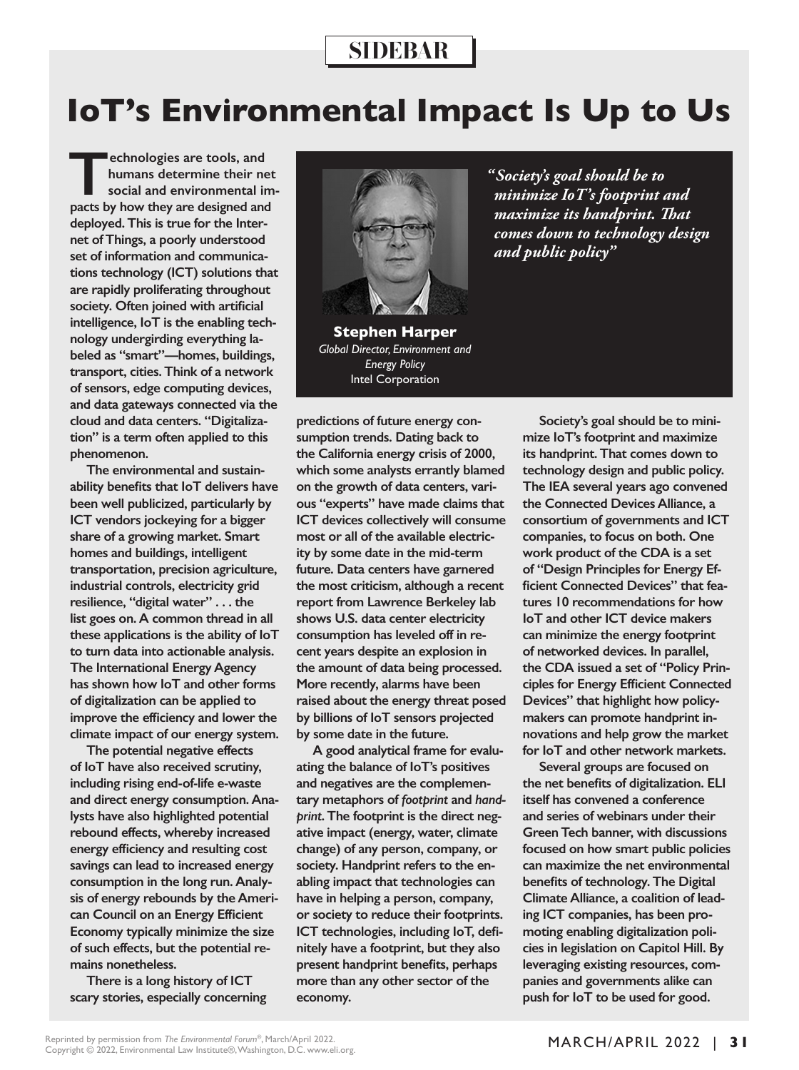### Sidebar **SIDEBAR**

## **IoT's Environmental Impact Is Up to Us**

**Technologies are tools, and<br>
humans determine their ne<br>
social and environmental in<br>
nects by how they are designed and humans determine their net social and environmental impacts by how they are designed and deployed. This is true for the Internet of Things, a poorly understood set of information and communications technology (ICT) solutions that are rapidly proliferating throughout society. Often joined with artificial intelligence, IoT is the enabling technology undergirding everything labeled as "smart"—homes, buildings, transport, cities. Think of a network of sensors, edge computing devices, and data gateways connected via the cloud and data centers. "Digitalization" is a term often applied to this phenomenon.**

**The environmental and sustainability benefits that IoT delivers have been well publicized, particularly by ICT vendors jockeying for a bigger share of a growing market. Smart homes and buildings, intelligent transportation, precision agriculture, industrial controls, electricity grid resilience, "digital water" . . . the list goes on. A common thread in all these applications is the ability of IoT to turn data into actionable analysis. The International Energy Agency has shown how IoT and other forms of digitalization can be applied to improve the efficiency and lower the climate impact of our energy system.**

**The potential negative effects of IoT have also received scrutiny, including rising end-of-life e-waste and direct energy consumption. Analysts have also highlighted potential rebound effects, whereby increased energy efficiency and resulting cost savings can lead to increased energy consumption in the long run. Analysis of energy rebounds by the American Council on an Energy Efficient Economy typically minimize the size of such effects, but the potential remains nonetheless.**

**There is a long history of ICT scary stories, especially concerning** 



**Stephen Harper** *Global Director, Environment and Energy Policy* Intel Corporation

**predictions of future energy consumption trends. Dating back to the California energy crisis of 2000, which some analysts errantly blamed on the growth of data centers, various "experts" have made claims that ICT devices collectively will consume most or all of the available electricity by some date in the mid-term future. Data centers have garnered the most criticism, although a recent report from Lawrence Berkeley lab shows U.S. data center electricity consumption has leveled off in recent years despite an explosion in the amount of data being processed. More recently, alarms have been raised about the energy threat posed by billions of IoT sensors projected by some date in the future.**

**A good analytical frame for evaluating the balance of IoT's positives and negatives are the complementary metaphors of** *footprint* **and** *handprint***. The footprint is the direct negative impact (energy, water, climate change) of any person, company, or society. Handprint refers to the enabling impact that technologies can have in helping a person, company, or society to reduce their footprints. ICT technologies, including IoT, definitely have a footprint, but they also present handprint benefits, perhaps more than any other sector of the economy.**

*"Society's goal should be to minimize IoT's footprint and maximize its handprint. That comes down to technology design and public policy"*

> **Society's goal should be to minimize IoT's footprint and maximize its handprint. That comes down to technology design and public policy. The IEA several years ago convened the Connected Devices Alliance, a consortium of governments and ICT companies, to focus on both. One work product of the CDA is a set of "Design Principles for Energy Efficient Connected Devices" that features 10 recommendations for how IoT and other ICT device makers can minimize the energy footprint of networked devices. In parallel, the CDA issued a set of "Policy Principles for Energy Efficient Connected Devices" that highlight how policymakers can promote handprint innovations and help grow the market for IoT and other network markets.**

> **Several groups are focused on the net benefits of digitalization. ELI itself has convened a conference and series of webinars under their Green Tech banner, with discussions focused on how smart public policies can maximize the net environmental benefits of technology. The Digital Climate Alliance, a coalition of leading ICT companies, has been promoting enabling digitalization policies in legislation on Capitol Hill. By leveraging existing resources, companies and governments alike can push for IoT to be used for good.**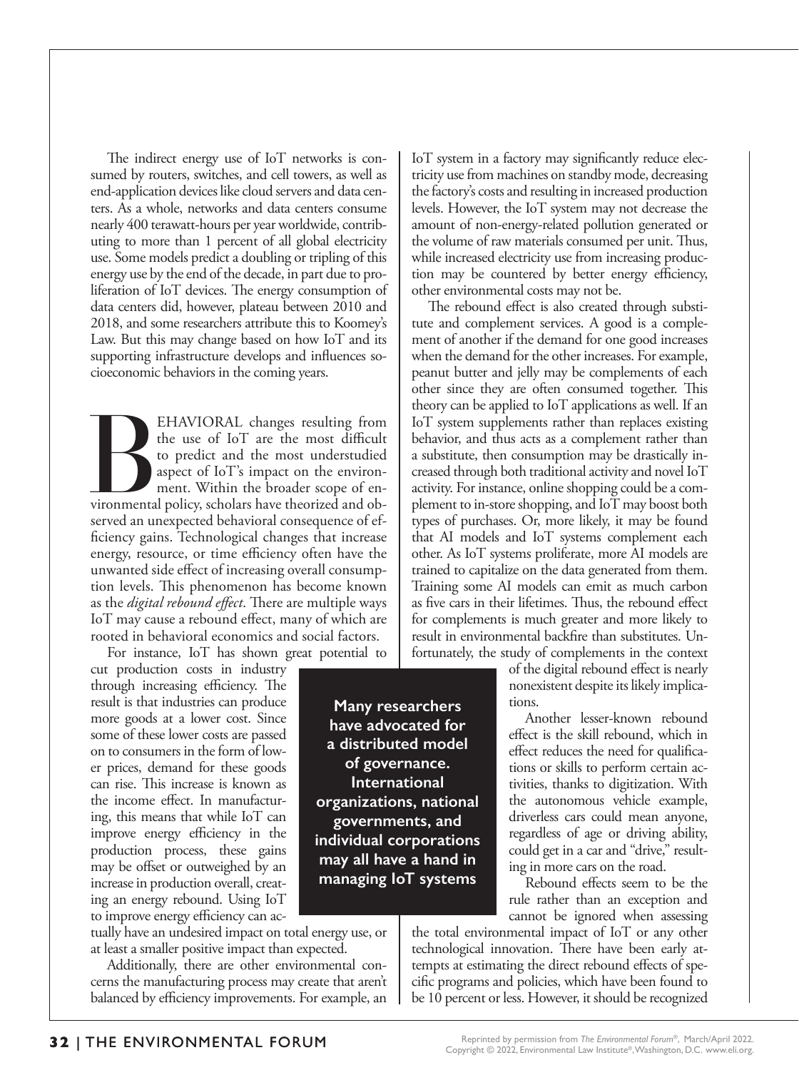The indirect energy use of IoT networks is consumed by routers, switches, and cell towers, as well as end-application devices like cloud servers and data centers. As a whole, networks and data centers consume nearly 400 terawatt-hours per year worldwide, contributing to more than 1 percent of all global electricity use. Some models predict a doubling or tripling of this energy use by the end of the decade, in part due to proliferation of IoT devices. The energy consumption of data centers did, however, plateau between 2010 and 2018, and some researchers attribute this to Koomey's Law. But this may change based on how IoT and its supporting infrastructure develops and influences socioeconomic behaviors in the coming years.

EHAVIORAL changes resulting from the use of IoT are the most difficult to predict and the most understudied aspect of IoT's impact on the environment. Within the broader scope of environmental policy, scholars have theoriz the use of IoT are the most difficult to predict and the most understudied aspect of IoT's impact on the environment. Within the broader scope of enserved an unexpected behavioral consequence of efficiency gains. Technological changes that increase energy, resource, or time efficiency often have the unwanted side effect of increasing overall consumption levels. This phenomenon has become known as the *digital rebound effect*. There are multiple ways IoT may cause a rebound effect, many of which are rooted in behavioral economics and social factors.

For instance, IoT has shown great potential to cut production costs in industry through increasing efficiency. The result is that industries can produce more goods at a lower cost. Since some of these lower costs are passed on to consumers in the form of lower prices, demand for these goods can rise. This increase is known as the income effect. In manufacturing, this means that while IoT can improve energy efficiency in the production process, these gains may be offset or outweighed by an increase in production overall, creating an energy rebound. Using IoT to improve energy efficiency can ac-

tually have an undesired impact on total energy use, or at least a smaller positive impact than expected.

Additionally, there are other environmental concerns the manufacturing process may create that aren't balanced by efficiency improvements. For example, an IoT system in a factory may significantly reduce electricity use from machines on standby mode, decreasing the factory's costs and resulting in increased production levels. However, the IoT system may not decrease the amount of non-energy-related pollution generated or the volume of raw materials consumed per unit. Thus, while increased electricity use from increasing production may be countered by better energy efficiency, other environmental costs may not be.

The rebound effect is also created through substitute and complement services. A good is a complement of another if the demand for one good increases when the demand for the other increases. For example, peanut butter and jelly may be complements of each other since they are often consumed together. This theory can be applied to IoT applications as well. If an IoT system supplements rather than replaces existing behavior, and thus acts as a complement rather than a substitute, then consumption may be drastically increased through both traditional activity and novel IoT activity. For instance, online shopping could be a complement to in-store shopping, and IoT may boost both types of purchases. Or, more likely, it may be found that AI models and IoT systems complement each other. As IoT systems proliferate, more AI models are trained to capitalize on the data generated from them. Training some AI models can emit as much carbon as five cars in their lifetimes. Thus, the rebound effect for complements is much greater and more likely to result in environmental backfire than substitutes. Unfortunately, the study of complements in the context

of the digital rebound effect is nearly nonexistent despite its likely implications.

Another lesser-known rebound effect is the skill rebound, which in effect reduces the need for qualifications or skills to perform certain activities, thanks to digitization. With the autonomous vehicle example, driverless cars could mean anyone, regardless of age or driving ability, could get in a car and "drive," resulting in more cars on the road.

Rebound effects seem to be the rule rather than an exception and cannot be ignored when assessing

the total environmental impact of IoT or any other technological innovation. There have been early attempts at estimating the direct rebound effects of specific programs and policies, which have been found to be 10 percent or less. However, it should be recognized

**Many researchers have advocated for a distributed model of governance. International organizations, national governments, and individual corporations may all have a hand in managing IoT systems**